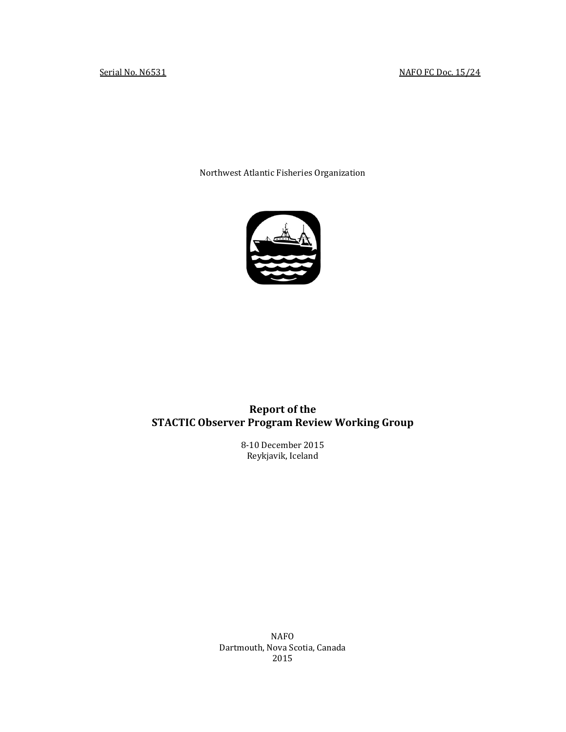Northwest Atlantic Fisheries Organization



# **Report of the STACTIC Observer Program Review Working Group**

8-10 December 2015 Reykjavik, Iceland

NAFO Dartmouth, Nova Scotia, Canada 2015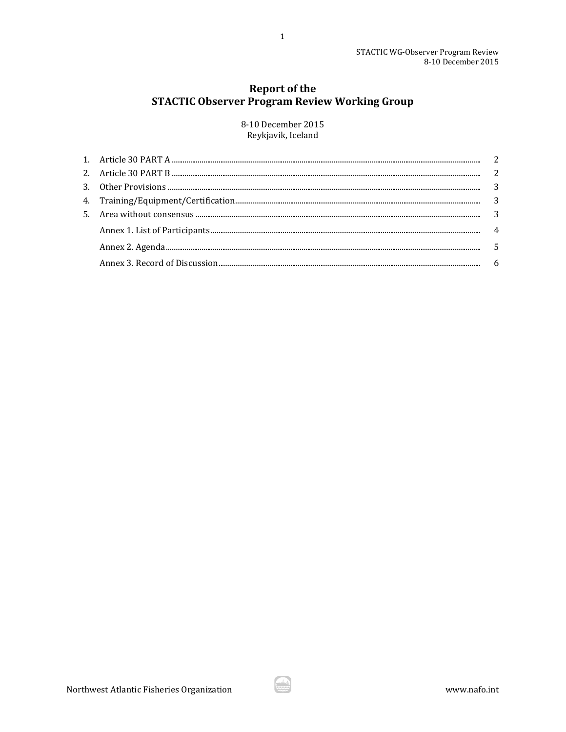# **Report of the STACTIC Observer Program Review Working Group**

 $\mathbf{1}$ 

8-10 December 2015 Reykjavik, Iceland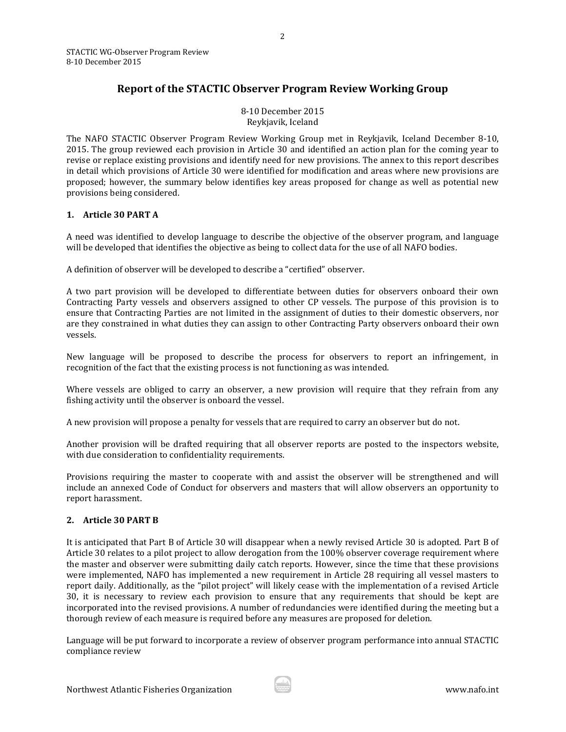STACTIC WG-Observer Program Review 8-10 December 2015

## **Report of the STACTIC Observer Program Review Working Group**

8-10 December 2015 Reykjavik, Iceland

The NAFO STACTIC Observer Program Review Working Group met in Reykjavik, Iceland December 8-10, 2015. The group reviewed each provision in Article 30 and identified an action plan for the coming year to revise or replace existing provisions and identify need for new provisions. The annex to this report describes in detail which provisions of Article 30 were identified for modification and areas where new provisions are proposed; however, the summary below identifies key areas proposed for change as well as potential new provisions being considered.

## <span id="page-2-0"></span>**1. Article 30 PART A**

A need was identified to develop language to describe the objective of the observer program, and language will be developed that identifies the objective as being to collect data for the use of all NAFO bodies.

A definition of observer will be developed to describe a "certified" observer.

A two part provision will be developed to differentiate between duties for observers onboard their own Contracting Party vessels and observers assigned to other CP vessels. The purpose of this provision is to ensure that Contracting Parties are not limited in the assignment of duties to their domestic observers, nor are they constrained in what duties they can assign to other Contracting Party observers onboard their own vessels.

New language will be proposed to describe the process for observers to report an infringement, in recognition of the fact that the existing process is not functioning as was intended.

Where vessels are obliged to carry an observer, a new provision will require that they refrain from any fishing activity until the observer is onboard the vessel.

A new provision will propose a penalty for vessels that are required to carry an observer but do not.

Another provision will be drafted requiring that all observer reports are posted to the inspectors website, with due consideration to confidentiality requirements.

Provisions requiring the master to cooperate with and assist the observer will be strengthened and will include an annexed Code of Conduct for observers and masters that will allow observers an opportunity to report harassment.

## <span id="page-2-1"></span>**2. Article 30 PART B**

It is anticipated that Part B of Article 30 will disappear when a newly revised Article 30 is adopted. Part B of Article 30 relates to a pilot project to allow derogation from the 100% observer coverage requirement where the master and observer were submitting daily catch reports. However, since the time that these provisions were implemented, NAFO has implemented a new requirement in Article 28 requiring all vessel masters to report daily. Additionally, as the "pilot project" will likely cease with the implementation of a revised Article 30, it is necessary to review each provision to ensure that any requirements that should be kept are incorporated into the revised provisions. A number of redundancies were identified during the meeting but a thorough review of each measure is required before any measures are proposed for deletion.

Language will be put forward to incorporate a review of observer program performance into annual STACTIC compliance review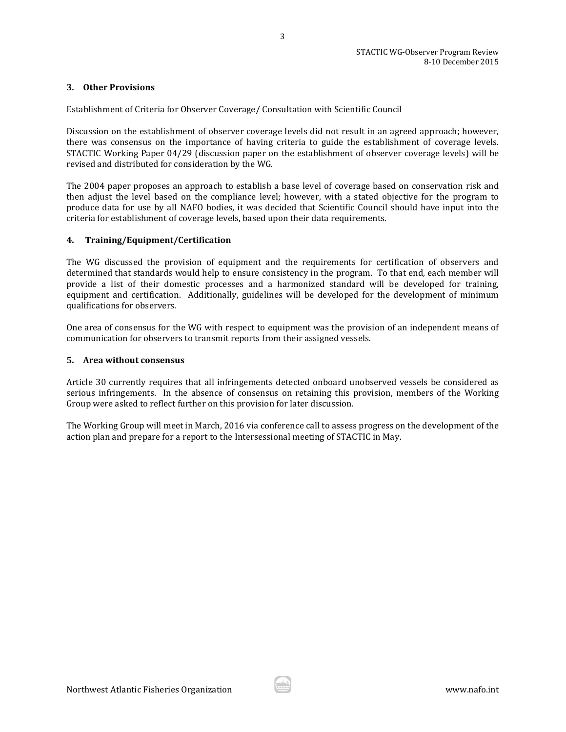#### <span id="page-3-0"></span>**3. Other Provisions**

Establishment of Criteria for Observer Coverage/ Consultation with Scientific Council

Discussion on the establishment of observer coverage levels did not result in an agreed approach; however, there was consensus on the importance of having criteria to guide the establishment of coverage levels. STACTIC Working Paper 04/29 (discussion paper on the establishment of observer coverage levels) will be revised and distributed for consideration by the WG.

The 2004 paper proposes an approach to establish a base level of coverage based on conservation risk and then adjust the level based on the compliance level; however, with a stated objective for the program to produce data for use by all NAFO bodies, it was decided that Scientific Council should have input into the criteria for establishment of coverage levels, based upon their data requirements.

#### <span id="page-3-1"></span>**4. Training/Equipment/Certification**

The WG discussed the provision of equipment and the requirements for certification of observers and determined that standards would help to ensure consistency in the program. To that end, each member will provide a list of their domestic processes and a harmonized standard will be developed for training, equipment and certification. Additionally, guidelines will be developed for the development of minimum qualifications for observers.

One area of consensus for the WG with respect to equipment was the provision of an independent means of communication for observers to transmit reports from their assigned vessels.

#### <span id="page-3-2"></span>**5. Area without consensus**

Article 30 currently requires that all infringements detected onboard unobserved vessels be considered as serious infringements. In the absence of consensus on retaining this provision, members of the Working Group were asked to reflect further on this provision for later discussion.

The Working Group will meet in March, 2016 via conference call to assess progress on the development of the action plan and prepare for a report to the Intersessional meeting of STACTIC in May.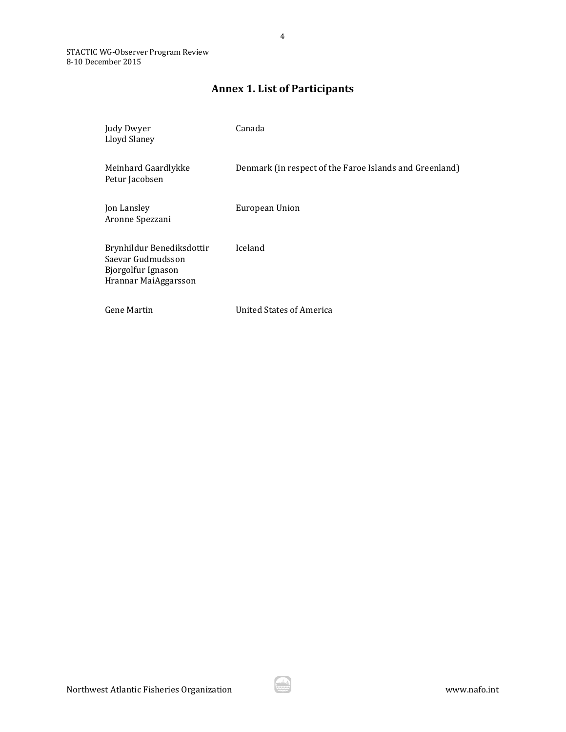# **Annex 1. List of Participants**

4

<span id="page-4-0"></span>

| Judy Dwyer<br>Lloyd Slaney                                                                   | Canada                                                  |
|----------------------------------------------------------------------------------------------|---------------------------------------------------------|
| Meinhard Gaardlykke<br>Petur Jacobsen                                                        | Denmark (in respect of the Faroe Islands and Greenland) |
| Jon Lansley<br>Aronne Spezzani                                                               | European Union                                          |
| Brynhildur Benediksdottir<br>Saevar Gudmudsson<br>Bjorgolfur Ignason<br>Hrannar MaiAggarsson | Iceland                                                 |
| <b>Gene Martin</b>                                                                           | <b>United States of America</b>                         |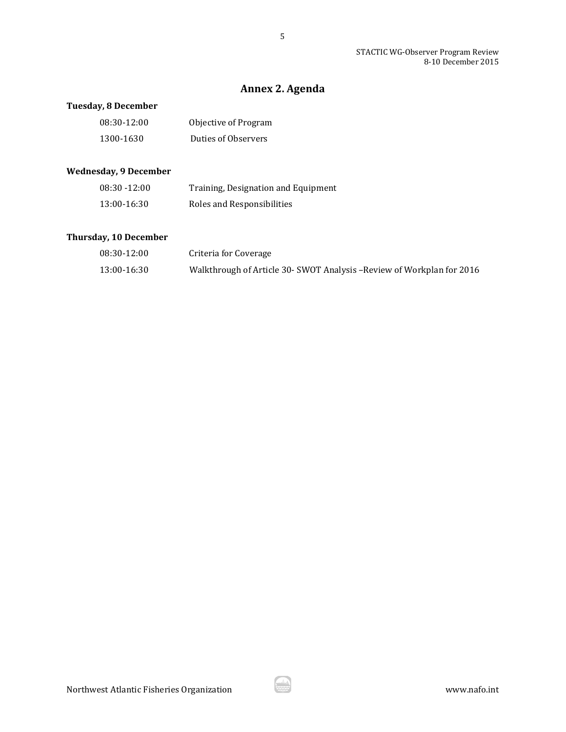STACTIC WG-Observer Program Review 8-10 December 2015

# **Annex 2. Agenda**

## <span id="page-5-0"></span>**Tuesday, 8 December**

| 08:30-12:00 | Objective of Program |
|-------------|----------------------|
| 1300-1630   | Duties of Observers  |

## **Wednesday, 9 December**

| $08:30 - 12:00$ | Training, Designation and Equipment |
|-----------------|-------------------------------------|
| 13:00-16:30     | Roles and Responsibilities          |

## **Thursday, 10 December**

| 08:30-12:00 | Criteria for Coverage                                                  |
|-------------|------------------------------------------------------------------------|
| 13:00-16:30 | Walkthrough of Article 30- SWOT Analysis – Review of Workplan for 2016 |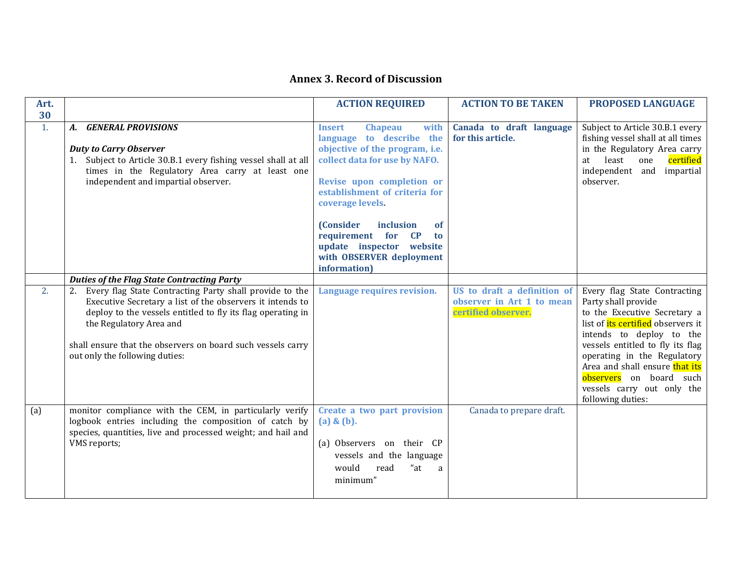# **Annex 3. Record of Discussion**

<span id="page-6-0"></span>

| Art. |                                                                                                                                                                                                                                                                                                                 | <b>ACTION REQUIRED</b>                                                                                                                                                                                                                                                                                                                                                     | <b>ACTION TO BE TAKEN</b>                                                       | <b>PROPOSED LANGUAGE</b>                                                                                                                                                                                                                                                                                                                        |
|------|-----------------------------------------------------------------------------------------------------------------------------------------------------------------------------------------------------------------------------------------------------------------------------------------------------------------|----------------------------------------------------------------------------------------------------------------------------------------------------------------------------------------------------------------------------------------------------------------------------------------------------------------------------------------------------------------------------|---------------------------------------------------------------------------------|-------------------------------------------------------------------------------------------------------------------------------------------------------------------------------------------------------------------------------------------------------------------------------------------------------------------------------------------------|
| 30   |                                                                                                                                                                                                                                                                                                                 |                                                                                                                                                                                                                                                                                                                                                                            |                                                                                 |                                                                                                                                                                                                                                                                                                                                                 |
| 1.   | <b>GENERAL PROVISIONS</b><br>А.<br><b>Duty to Carry Observer</b><br>1. Subject to Article 30.B.1 every fishing vessel shall at all<br>times in the Regulatory Area carry at least one<br>independent and impartial observer.                                                                                    | with<br><b>Insert</b><br><b>Chapeau</b><br>language to describe the<br>objective of the program, i.e.<br>collect data for use by NAFO.<br>Revise upon completion or<br>establishment of criteria for<br>coverage levels.<br><b>(Consider</b><br>inclusion<br><b>of</b><br>requirement for CP<br>to<br>update inspector website<br>with OBSERVER deployment<br>information) | Canada to draft language<br>for this article.                                   | Subject to Article 30.B.1 every<br>fishing vessel shall at all times<br>in the Regulatory Area carry<br>least<br>certified<br>one<br>at<br>independent and<br>impartial<br>observer.                                                                                                                                                            |
|      | <b>Duties of the Flag State Contracting Party</b>                                                                                                                                                                                                                                                               |                                                                                                                                                                                                                                                                                                                                                                            |                                                                                 |                                                                                                                                                                                                                                                                                                                                                 |
| 2.   | Every flag State Contracting Party shall provide to the<br>Executive Secretary a list of the observers it intends to<br>deploy to the vessels entitled to fly its flag operating in<br>the Regulatory Area and<br>shall ensure that the observers on board such vessels carry<br>out only the following duties: | Language requires revision.                                                                                                                                                                                                                                                                                                                                                | US to draft a definition of<br>observer in Art 1 to mean<br>certified observer. | Every flag State Contracting<br>Party shall provide<br>to the Executive Secretary a<br>list of <i>its</i> certified observers it<br>intends to deploy to the<br>vessels entitled to fly its flag<br>operating in the Regulatory<br>Area and shall ensure that its<br>observers on board such<br>vessels carry out only the<br>following duties: |
| (a)  | monitor compliance with the CEM, in particularly verify<br>logbook entries including the composition of catch by<br>species, quantities, live and processed weight; and hail and<br>VMS reports;                                                                                                                | Create a two part provision<br>(a) & (b).<br>(a) Observers on their CP<br>vessels and the language<br>"at<br>would<br>read<br>a<br>minimum"                                                                                                                                                                                                                                | Canada to prepare draft.                                                        |                                                                                                                                                                                                                                                                                                                                                 |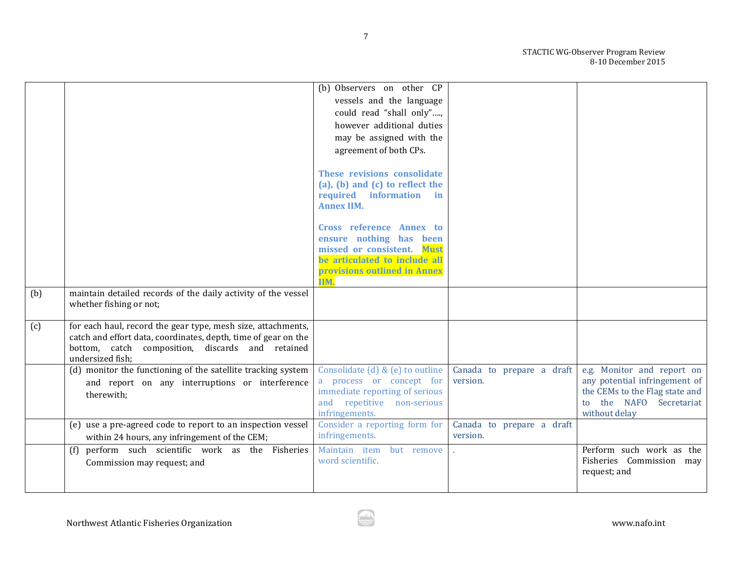STACTIC WG-Observer Program Review 8-10 December 2015

|     |                                                                                                                                | (b) Observers on other CP                             |                                       |                                                      |
|-----|--------------------------------------------------------------------------------------------------------------------------------|-------------------------------------------------------|---------------------------------------|------------------------------------------------------|
|     |                                                                                                                                | vessels and the language                              |                                       |                                                      |
|     |                                                                                                                                | could read "shall only",                              |                                       |                                                      |
|     |                                                                                                                                | however additional duties                             |                                       |                                                      |
|     |                                                                                                                                | may be assigned with the                              |                                       |                                                      |
|     |                                                                                                                                | agreement of both CPs.                                |                                       |                                                      |
|     |                                                                                                                                |                                                       |                                       |                                                      |
|     |                                                                                                                                | These revisions consolidate                           |                                       |                                                      |
|     |                                                                                                                                | (a), (b) and (c) to reflect the                       |                                       |                                                      |
|     |                                                                                                                                | required information in                               |                                       |                                                      |
|     |                                                                                                                                | <b>Annex IIM.</b>                                     |                                       |                                                      |
|     |                                                                                                                                |                                                       |                                       |                                                      |
|     |                                                                                                                                | Cross reference Annex to                              |                                       |                                                      |
|     |                                                                                                                                | ensure nothing has been<br>missed or consistent. Must |                                       |                                                      |
|     |                                                                                                                                | be articulated to include all                         |                                       |                                                      |
|     |                                                                                                                                | provisions outlined in Annex                          |                                       |                                                      |
|     |                                                                                                                                | IIM.                                                  |                                       |                                                      |
| (b) | maintain detailed records of the daily activity of the vessel                                                                  |                                                       |                                       |                                                      |
|     | whether fishing or not;                                                                                                        |                                                       |                                       |                                                      |
|     |                                                                                                                                |                                                       |                                       |                                                      |
| (c) | for each haul, record the gear type, mesh size, attachments,<br>catch and effort data, coordinates, depth, time of gear on the |                                                       |                                       |                                                      |
|     | bottom, catch composition, discards and retained                                                                               |                                                       |                                       |                                                      |
|     | undersized fish;                                                                                                               |                                                       |                                       |                                                      |
|     | (d) monitor the functioning of the satellite tracking system                                                                   | Consolidate (d) & (e) to outline                      | Canada to prepare a draft             | e.g. Monitor and report on                           |
|     | and report on any interruptions or interference                                                                                | a process or concept for                              | version.                              | any potential infringement of                        |
|     | therewith;                                                                                                                     | immediate reporting of serious                        |                                       | the CEMs to the Flag state and                       |
|     |                                                                                                                                | and repetitive non-serious                            |                                       | to the NAFO Secretariat                              |
|     | (e) use a pre-agreed code to report to an inspection vessel                                                                    | infringements.<br>Consider a reporting form for       |                                       | without delay                                        |
|     |                                                                                                                                | infringements.                                        | Canada to prepare a draft<br>version. |                                                      |
|     | within 24 hours, any infringement of the CEM;                                                                                  |                                                       |                                       |                                                      |
|     | perform such scientific work as the Fisheries<br>(f)                                                                           | Maintain item<br>but remove<br>word scientific.       |                                       | Perform such work as the<br>Fisheries Commission may |
|     | Commission may request; and                                                                                                    |                                                       |                                       | request; and                                         |
|     |                                                                                                                                |                                                       |                                       |                                                      |
|     |                                                                                                                                |                                                       |                                       |                                                      |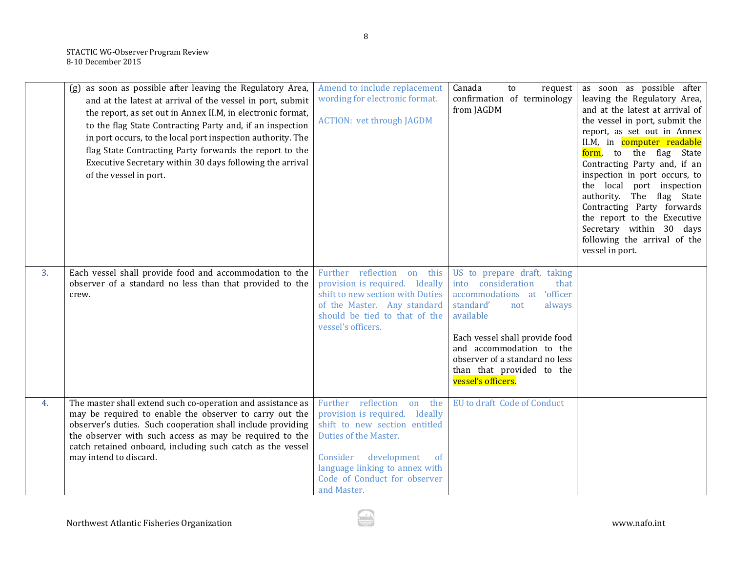|    | (g) as soon as possible after leaving the Regulatory Area,<br>and at the latest at arrival of the vessel in port, submit<br>the report, as set out in Annex II.M, in electronic format,<br>to the flag State Contracting Party and, if an inspection<br>in port occurs, to the local port inspection authority. The<br>flag State Contracting Party forwards the report to the<br>Executive Secretary within 30 days following the arrival<br>of the vessel in port. | Amend to include replacement<br>wording for electronic format.<br><b>ACTION: vet through JAGDM</b>                                                                                                                                               | Canada<br>to<br>request<br>confirmation of terminology<br>from JAGDM                                                                                                                                                                                                                     | as soon as possible after<br>leaving the Regulatory Area,<br>and at the latest at arrival of<br>the vessel in port, submit the<br>report, as set out in Annex<br>II.M, in computer readable<br>form, to the flag State<br>Contracting Party and, if an<br>inspection in port occurs, to<br>the local port inspection<br>authority. The flag State<br>Contracting Party forwards<br>the report to the Executive<br>Secretary within 30 days<br>following the arrival of the<br>vessel in port. |
|----|----------------------------------------------------------------------------------------------------------------------------------------------------------------------------------------------------------------------------------------------------------------------------------------------------------------------------------------------------------------------------------------------------------------------------------------------------------------------|--------------------------------------------------------------------------------------------------------------------------------------------------------------------------------------------------------------------------------------------------|------------------------------------------------------------------------------------------------------------------------------------------------------------------------------------------------------------------------------------------------------------------------------------------|-----------------------------------------------------------------------------------------------------------------------------------------------------------------------------------------------------------------------------------------------------------------------------------------------------------------------------------------------------------------------------------------------------------------------------------------------------------------------------------------------|
| 3. | Each vessel shall provide food and accommodation to the<br>observer of a standard no less than that provided to the<br>crew.                                                                                                                                                                                                                                                                                                                                         | Further reflection on this<br>provision is required. Ideally<br>shift to new section with Duties<br>of the Master. Any standard<br>should be tied to that of the<br>vessel's officers.                                                           | US to prepare draft, taking<br>into consideration<br>that<br>'officer<br>accommodations at<br>standard'<br>always<br>not<br>available<br>Each vessel shall provide food<br>and accommodation to the<br>observer of a standard no less<br>than that provided to the<br>vessel's officers. |                                                                                                                                                                                                                                                                                                                                                                                                                                                                                               |
| 4. | The master shall extend such co-operation and assistance as<br>may be required to enable the observer to carry out the<br>observer's duties. Such cooperation shall include providing<br>the observer with such access as may be required to the<br>catch retained onboard, including such catch as the vessel<br>may intend to discard.                                                                                                                             | Further<br>reflection<br>the<br>on<br>provision is required. Ideally<br>shift to new section entitled<br>Duties of the Master.<br>Consider<br>development<br>of<br>language linking to annex with<br>Code of Conduct for observer<br>and Master. | EU to draft Code of Conduct                                                                                                                                                                                                                                                              |                                                                                                                                                                                                                                                                                                                                                                                                                                                                                               |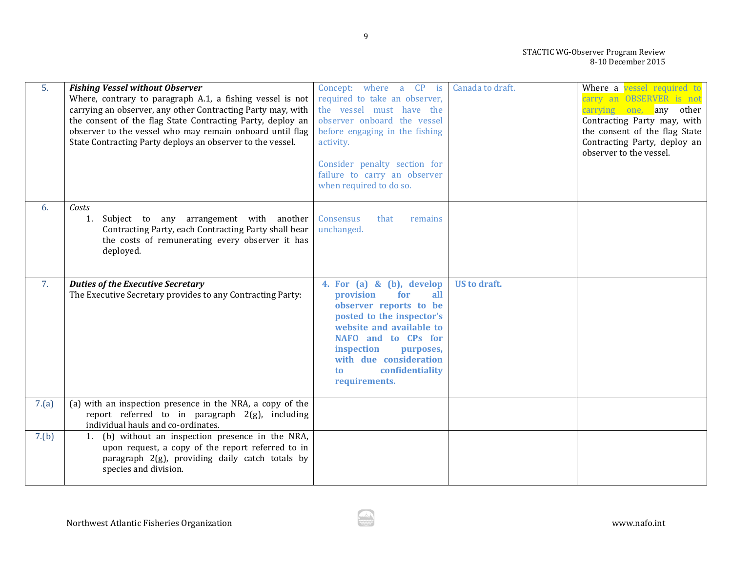| 5.    | <b>Fishing Vessel without Observer</b><br>Where, contrary to paragraph A.1, a fishing vessel is not<br>carrying an observer, any other Contracting Party may, with<br>the consent of the flag State Contracting Party, deploy an<br>observer to the vessel who may remain onboard until flag<br>State Contracting Party deploys an observer to the vessel. | Concept: where a CP is<br>required to take an observer,<br>the vessel must have the<br>observer onboard the vessel<br>before engaging in the fishing<br>activity.<br>Consider penalty section for<br>failure to carry an observer<br>when required to do so.       | Canada to draft.    | Where a vessel required to<br>carry an OBSERVER is not<br>carrying one, any other<br>Contracting Party may, with<br>the consent of the flag State<br>Contracting Party, deploy an<br>observer to the vessel. |
|-------|------------------------------------------------------------------------------------------------------------------------------------------------------------------------------------------------------------------------------------------------------------------------------------------------------------------------------------------------------------|--------------------------------------------------------------------------------------------------------------------------------------------------------------------------------------------------------------------------------------------------------------------|---------------------|--------------------------------------------------------------------------------------------------------------------------------------------------------------------------------------------------------------|
| 6.    | Costs<br>1. Subject to any arrangement with another<br>Contracting Party, each Contracting Party shall bear<br>the costs of remunerating every observer it has<br>deployed.                                                                                                                                                                                | Consensus<br>that<br>remains<br>unchanged.                                                                                                                                                                                                                         |                     |                                                                                                                                                                                                              |
| 7.    | <b>Duties of the Executive Secretary</b><br>The Executive Secretary provides to any Contracting Party:                                                                                                                                                                                                                                                     | 4. For $(a)$ & $(b)$ , develop<br>for<br>provision<br>all<br>observer reports to be<br>posted to the inspector's<br>website and available to<br>NAFO and to CPs for<br>inspection<br>purposes,<br>with due consideration<br>confidentiality<br>to<br>requirements. | <b>US</b> to draft. |                                                                                                                                                                                                              |
| 7.(a) | (a) with an inspection presence in the NRA, a copy of the<br>report referred to in paragraph 2(g), including<br>individual hauls and co-ordinates.                                                                                                                                                                                                         |                                                                                                                                                                                                                                                                    |                     |                                                                                                                                                                                                              |
| 7.(b) | (b) without an inspection presence in the NRA,<br>1.<br>upon request, a copy of the report referred to in<br>paragraph 2(g), providing daily catch totals by<br>species and division.                                                                                                                                                                      |                                                                                                                                                                                                                                                                    |                     |                                                                                                                                                                                                              |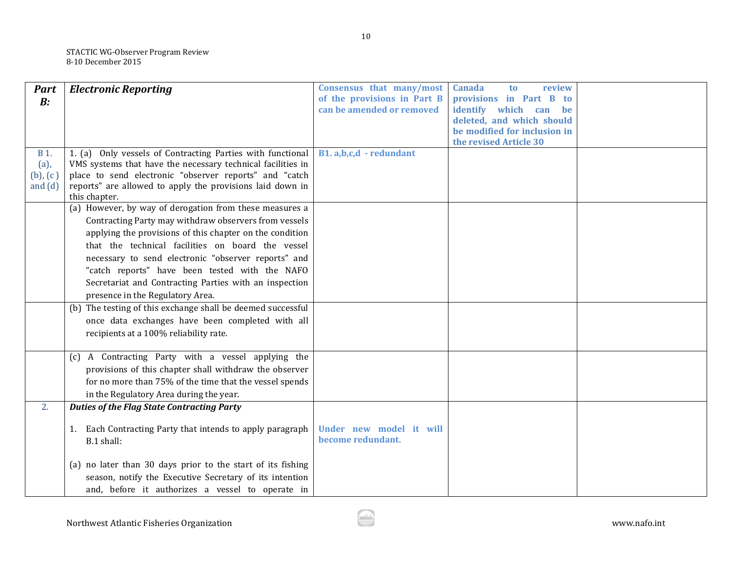| <b>Part</b>   | <b>Electronic Reporting</b>                                                | Consensus that many/most    | <b>Canada</b><br>review<br>t <sub>0</sub> |  |
|---------------|----------------------------------------------------------------------------|-----------------------------|-------------------------------------------|--|
| B:            |                                                                            | of the provisions in Part B | provisions in Part B<br>to to             |  |
|               |                                                                            | can be amended or removed   | identify which can be                     |  |
|               |                                                                            |                             | deleted, and which should                 |  |
|               |                                                                            |                             | be modified for inclusion in              |  |
|               |                                                                            |                             | the revised Article 30                    |  |
| <b>B</b> 1.   | 1. (a) Only vessels of Contracting Parties with functional                 | B1.a,b,c,d - redundant      |                                           |  |
| $(a)$ ,       | VMS systems that have the necessary technical facilities in                |                             |                                           |  |
| $(b)$ , $(c)$ | place to send electronic "observer reports" and "catch                     |                             |                                           |  |
| and $(d)$     | reports" are allowed to apply the provisions laid down in<br>this chapter. |                             |                                           |  |
|               | (a) However, by way of derogation from these measures a                    |                             |                                           |  |
|               | Contracting Party may withdraw observers from vessels                      |                             |                                           |  |
|               |                                                                            |                             |                                           |  |
|               | applying the provisions of this chapter on the condition                   |                             |                                           |  |
|               | that the technical facilities on board the vessel                          |                             |                                           |  |
|               | necessary to send electronic "observer reports" and                        |                             |                                           |  |
|               | "catch reports" have been tested with the NAFO                             |                             |                                           |  |
|               | Secretariat and Contracting Parties with an inspection                     |                             |                                           |  |
|               | presence in the Regulatory Area.                                           |                             |                                           |  |
|               | (b) The testing of this exchange shall be deemed successful                |                             |                                           |  |
|               | once data exchanges have been completed with all                           |                             |                                           |  |
|               | recipients at a 100% reliability rate.                                     |                             |                                           |  |
|               |                                                                            |                             |                                           |  |
|               | A Contracting Party with a vessel applying the<br>(c)                      |                             |                                           |  |
|               | provisions of this chapter shall withdraw the observer                     |                             |                                           |  |
|               | for no more than 75% of the time that the vessel spends                    |                             |                                           |  |
|               | in the Regulatory Area during the year.                                    |                             |                                           |  |
| 2.            | <b>Duties of the Flag State Contracting Party</b>                          |                             |                                           |  |
|               |                                                                            |                             |                                           |  |
|               | Each Contracting Party that intends to apply paragraph<br>1.               | Under new model it will     |                                           |  |
|               | B.1 shall:                                                                 | become redundant.           |                                           |  |
|               |                                                                            |                             |                                           |  |
|               | (a) no later than 30 days prior to the start of its fishing                |                             |                                           |  |
|               | season, notify the Executive Secretary of its intention                    |                             |                                           |  |
|               | and, before it authorizes a vessel to operate in                           |                             |                                           |  |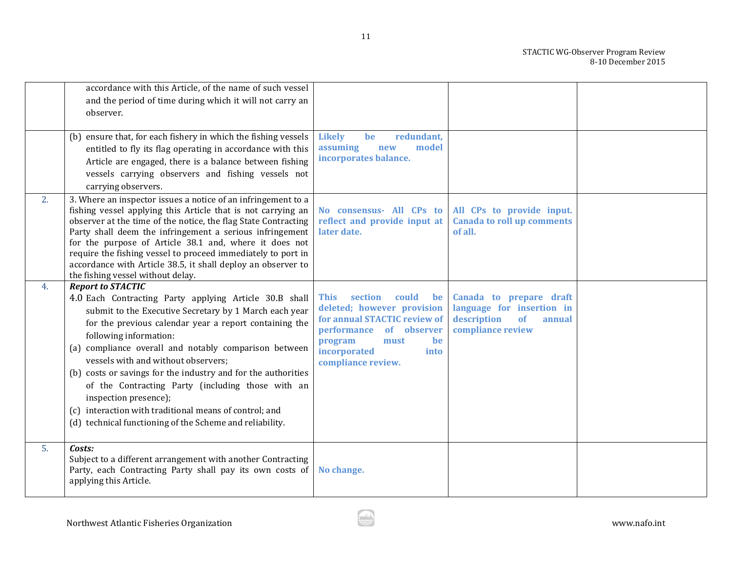|    | accordance with this Article, of the name of such vessel<br>and the period of time during which it will not carry an<br>observer.                                                                                                                                                                                                                                                                                                                                                                                                                                                                     |                                                                                                                                                                                                       |                                                                                                          |  |
|----|-------------------------------------------------------------------------------------------------------------------------------------------------------------------------------------------------------------------------------------------------------------------------------------------------------------------------------------------------------------------------------------------------------------------------------------------------------------------------------------------------------------------------------------------------------------------------------------------------------|-------------------------------------------------------------------------------------------------------------------------------------------------------------------------------------------------------|----------------------------------------------------------------------------------------------------------|--|
|    | (b) ensure that, for each fishery in which the fishing vessels<br>entitled to fly its flag operating in accordance with this<br>Article are engaged, there is a balance between fishing<br>vessels carrying observers and fishing vessels not<br>carrying observers.                                                                                                                                                                                                                                                                                                                                  | <b>Likely</b><br>redundant,<br>be<br>assuming<br>model<br>new<br>incorporates balance.                                                                                                                |                                                                                                          |  |
| 2. | 3. Where an inspector issues a notice of an infringement to a<br>fishing vessel applying this Article that is not carrying an<br>observer at the time of the notice, the flag State Contracting<br>Party shall deem the infringement a serious infringement<br>for the purpose of Article 38.1 and, where it does not<br>require the fishing vessel to proceed immediately to port in<br>accordance with Article 38.5, it shall deploy an observer to<br>the fishing vessel without delay.                                                                                                            | No consensus- All CPs to<br>reflect and provide input at<br>later date.                                                                                                                               | All CPs to provide input.<br><b>Canada to roll up comments</b><br>of all.                                |  |
| 4. | <b>Report to STACTIC</b><br>4.0 Each Contracting Party applying Article 30.B shall<br>submit to the Executive Secretary by 1 March each year<br>for the previous calendar year a report containing the<br>following information:<br>(a) compliance overall and notably comparison between<br>vessels with and without observers;<br>(b) costs or savings for the industry and for the authorities<br>of the Contracting Party (including those with an<br>inspection presence);<br>(c) interaction with traditional means of control; and<br>(d) technical functioning of the Scheme and reliability. | section<br>could<br><b>This</b><br>be<br>deleted; however provision<br>for annual STACTIC review of<br>performance of observer<br>program<br>must<br>be<br>incorporated<br>into<br>compliance review. | Canada to prepare draft<br>language for insertion in<br>description<br>of<br>annual<br>compliance review |  |
| 5. | Costs:<br>Subject to a different arrangement with another Contracting<br>Party, each Contracting Party shall pay its own costs of<br>applying this Article.                                                                                                                                                                                                                                                                                                                                                                                                                                           | No change.                                                                                                                                                                                            |                                                                                                          |  |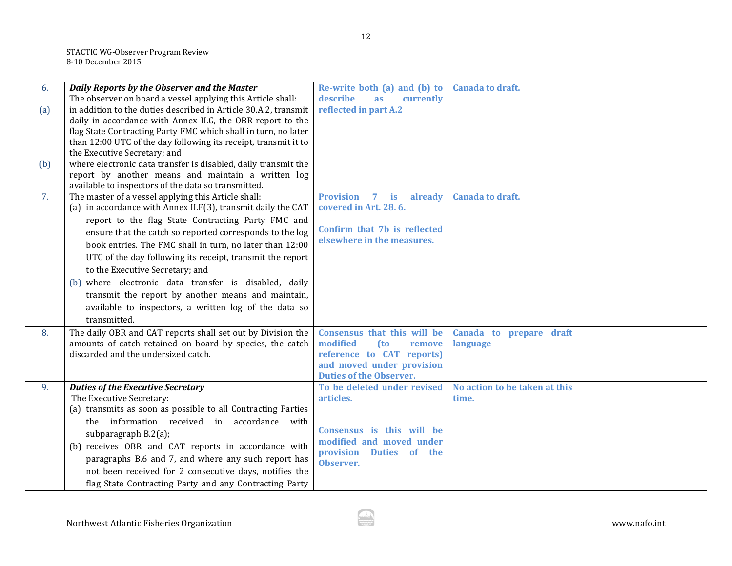| 6.  | Daily Reports by the Observer and the Master                                                    | Re-write both (a) and (b) to                                | <b>Canada to draft.</b>       |  |
|-----|-------------------------------------------------------------------------------------------------|-------------------------------------------------------------|-------------------------------|--|
|     | The observer on board a vessel applying this Article shall:                                     | describe<br>currently<br>as                                 |                               |  |
| (a) | in addition to the duties described in Article 30.A.2, transmit                                 | reflected in part A.2                                       |                               |  |
|     | daily in accordance with Annex II.G, the OBR report to the                                      |                                                             |                               |  |
|     | flag State Contracting Party FMC which shall in turn, no later                                  |                                                             |                               |  |
|     | than 12:00 UTC of the day following its receipt, transmit it to<br>the Executive Secretary; and |                                                             |                               |  |
|     | where electronic data transfer is disabled, daily transmit the                                  |                                                             |                               |  |
| (b) | report by another means and maintain a written log                                              |                                                             |                               |  |
|     | available to inspectors of the data so transmitted.                                             |                                                             |                               |  |
| 7.  | The master of a vessel applying this Article shall:                                             | <b>Provision</b><br>$7$ is<br>already                       | <b>Canada to draft.</b>       |  |
|     | (a) in accordance with Annex II.F(3), transmit daily the CAT                                    | covered in Art. 28.6.                                       |                               |  |
|     | report to the flag State Contracting Party FMC and                                              |                                                             |                               |  |
|     | ensure that the catch so reported corresponds to the log                                        | Confirm that 7b is reflected                                |                               |  |
|     | book entries. The FMC shall in turn, no later than 12:00                                        | elsewhere in the measures.                                  |                               |  |
|     | UTC of the day following its receipt, transmit the report                                       |                                                             |                               |  |
|     | to the Executive Secretary; and                                                                 |                                                             |                               |  |
|     | (b) where electronic data transfer is disabled, daily                                           |                                                             |                               |  |
|     |                                                                                                 |                                                             |                               |  |
|     | transmit the report by another means and maintain,                                              |                                                             |                               |  |
|     | available to inspectors, a written log of the data so                                           |                                                             |                               |  |
|     | transmitted.                                                                                    |                                                             |                               |  |
| 8.  | The daily OBR and CAT reports shall set out by Division the                                     | Consensus that this will be                                 | Canada to prepare draft       |  |
|     | amounts of catch retained on board by species, the catch                                        | modified<br>(to<br>remove                                   | language                      |  |
|     | discarded and the undersized catch.                                                             | reference to CAT reports)                                   |                               |  |
|     |                                                                                                 | and moved under provision<br><b>Duties of the Observer.</b> |                               |  |
| 9.  | <b>Duties of the Executive Secretary</b>                                                        | To be deleted under revised                                 | No action to be taken at this |  |
|     | The Executive Secretary:                                                                        | articles.                                                   | time.                         |  |
|     | (a) transmits as soon as possible to all Contracting Parties                                    |                                                             |                               |  |
|     | information received in<br>accordance with<br>the                                               |                                                             |                               |  |
|     | subparagraph B.2(a);                                                                            | Consensus is this will be                                   |                               |  |
|     | (b) receives OBR and CAT reports in accordance with                                             | modified and moved under                                    |                               |  |
|     | paragraphs B.6 and 7, and where any such report has                                             | provision Duties of the                                     |                               |  |
|     | not been received for 2 consecutive days, notifies the                                          | Observer.                                                   |                               |  |
|     |                                                                                                 |                                                             |                               |  |
|     | flag State Contracting Party and any Contracting Party                                          |                                                             |                               |  |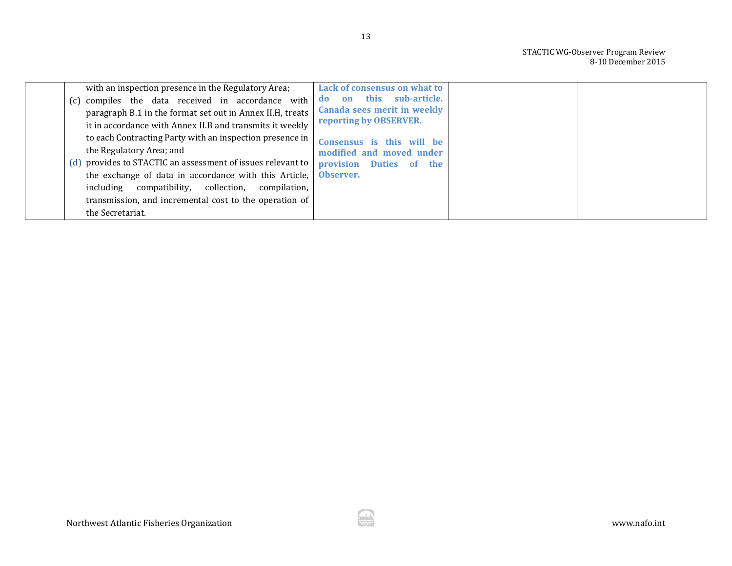| with an inspection presence in the Regulatory Area;                                                            | Lack of consensus on what to                                    |  |
|----------------------------------------------------------------------------------------------------------------|-----------------------------------------------------------------|--|
| (c) compiles the data received in accordance with<br>paragraph B.1 in the format set out in Annex II.H, treats | sub-article.<br>this<br>on<br>do<br>Canada sees merit in weekly |  |
| it in accordance with Annex II.B and transmits it weekly                                                       | reporting by OBSERVER.                                          |  |
| to each Contracting Party with an inspection presence in<br>the Regulatory Area; and                           | Consensus is this will be<br>modified and moved under           |  |
| (d) provides to STACTIC an assessment of issues relevant to                                                    | provision Duties of the                                         |  |
| the exchange of data in accordance with this Article,<br>including compatibility, collection, compilation,     | Observer.                                                       |  |
| transmission, and incremental cost to the operation of<br>the Secretariat.                                     |                                                                 |  |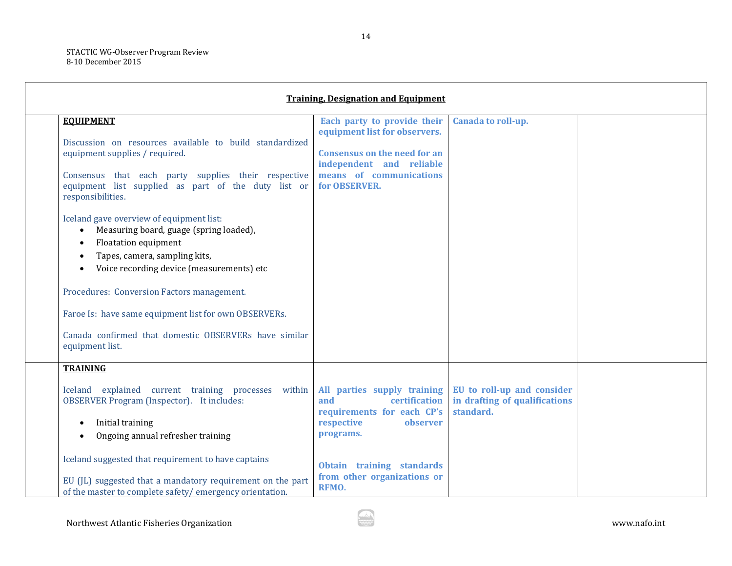Г

| <b>Training, Designation and Equipment</b>                                                                                                                                                                                                                                                                                                                                                                                                                                                                                                                                                                                                    |                                                                                                                                                                                               |                                                                          |  |  |
|-----------------------------------------------------------------------------------------------------------------------------------------------------------------------------------------------------------------------------------------------------------------------------------------------------------------------------------------------------------------------------------------------------------------------------------------------------------------------------------------------------------------------------------------------------------------------------------------------------------------------------------------------|-----------------------------------------------------------------------------------------------------------------------------------------------------------------------------------------------|--------------------------------------------------------------------------|--|--|
| <b>EQUIPMENT</b><br>Discussion on resources available to build standardized<br>equipment supplies / required.<br>Consensus that each party supplies their respective<br>equipment list supplied as part of the duty list or<br>responsibilities.<br>Iceland gave overview of equipment list:<br>Measuring board, guage (spring loaded),<br>Floatation equipment<br>Tapes, camera, sampling kits,<br>$\bullet$<br>Voice recording device (measurements) etc<br>Procedures: Conversion Factors management.<br>Faroe Is: have same equipment list for own OBSERVERs.<br>Canada confirmed that domestic OBSERVERs have similar<br>equipment list. | Each party to provide their<br>equipment list for observers.<br><b>Consensus on the need for an</b><br>independent and reliable<br>means of communications<br>for OBSERVER.                   | Canada to roll-up.                                                       |  |  |
| <b>TRAINING</b><br>Iceland explained current training processes within<br><b>OBSERVER Program (Inspector).</b> It includes:<br>Initial training<br>Ongoing annual refresher training<br>Iceland suggested that requirement to have captains<br>EU (JL) suggested that a mandatory requirement on the part<br>of the master to complete safety/emergency orientation.                                                                                                                                                                                                                                                                          | All parties supply training<br>and<br>certification<br>requirements for each CP's<br>respective<br>observer<br>programs.<br>Obtain training standards<br>from other organizations or<br>RFMO. | EU to roll-up and consider<br>in drafting of qualifications<br>standard. |  |  |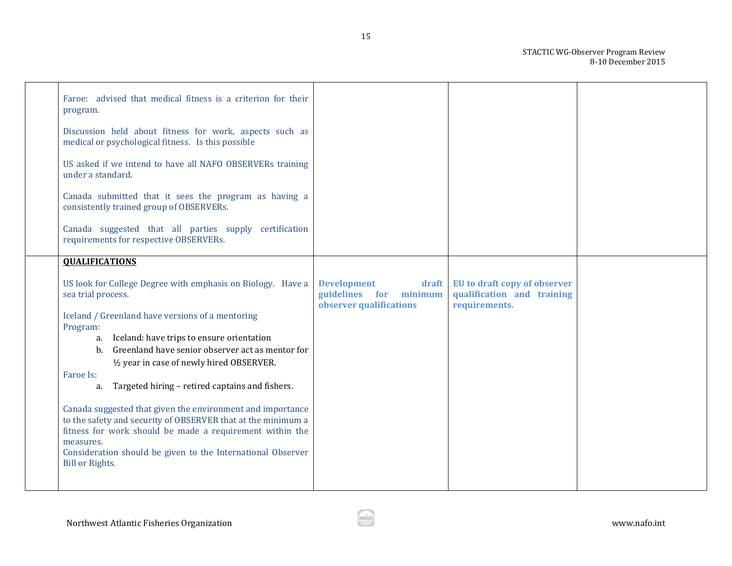| Faroe: advised that medical fitness is a criterion for their<br>program.                                                   |                                                                                  |                                                                             |  |
|----------------------------------------------------------------------------------------------------------------------------|----------------------------------------------------------------------------------|-----------------------------------------------------------------------------|--|
| Discussion held about fitness for work, aspects such as<br>medical or psychological fitness. Is this possible              |                                                                                  |                                                                             |  |
| US asked if we intend to have all NAFO OBSERVERs training<br>under a standard.                                             |                                                                                  |                                                                             |  |
| Canada submitted that it sees the program as having a<br>consistently trained group of OBSERVERs.                          |                                                                                  |                                                                             |  |
| Canada suggested that all parties supply certification<br>requirements for respective OBSERVERs.                           |                                                                                  |                                                                             |  |
| <b>OUALIFICATIONS</b>                                                                                                      |                                                                                  |                                                                             |  |
| US look for College Degree with emphasis on Biology. Have a<br>sea trial process.                                          | <b>Development</b><br>draft<br>guidelines for minimum<br>observer qualifications | EU to draft copy of observer<br>qualification and training<br>requirements. |  |
| Iceland / Greenland have versions of a mentoring                                                                           |                                                                                  |                                                                             |  |
| Program:<br>a. Iceland: have trips to ensure orientation                                                                   |                                                                                  |                                                                             |  |
| Greenland have senior observer act as mentor for<br>b.                                                                     |                                                                                  |                                                                             |  |
| 1/2 year in case of newly hired OBSERVER.                                                                                  |                                                                                  |                                                                             |  |
| Faroe Is:<br>Targeted hiring - retired captains and fishers.<br>a.                                                         |                                                                                  |                                                                             |  |
|                                                                                                                            |                                                                                  |                                                                             |  |
| Canada suggested that given the environment and importance<br>to the safety and security of OBSERVER that at the minimum a |                                                                                  |                                                                             |  |
| fitness for work should be made a requirement within the                                                                   |                                                                                  |                                                                             |  |
| measures.<br>Consideration should be given to the International Observer                                                   |                                                                                  |                                                                             |  |
| <b>Bill or Rights.</b>                                                                                                     |                                                                                  |                                                                             |  |
|                                                                                                                            |                                                                                  |                                                                             |  |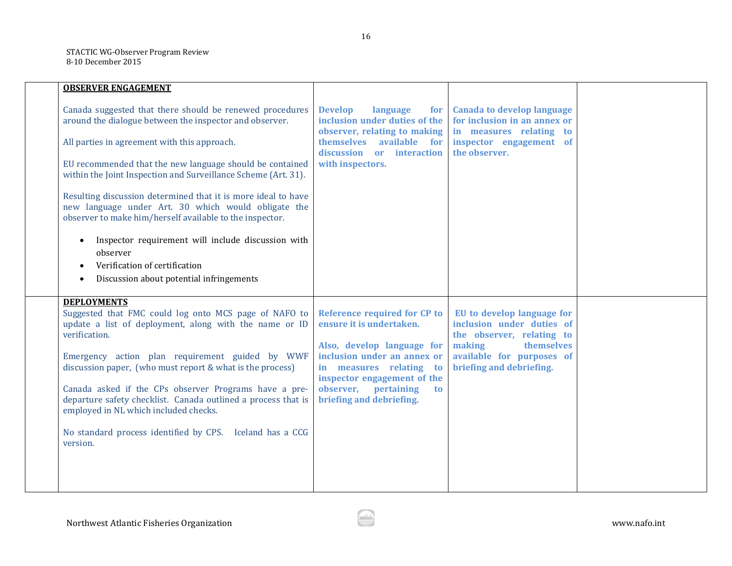| <b>OBSERVER ENGAGEMENT</b>                                                                                                                                                                                                                                                                                                                                                                                                                |                                                                                                                                                                                                                                                            |                                                                                                                                                                       |  |
|-------------------------------------------------------------------------------------------------------------------------------------------------------------------------------------------------------------------------------------------------------------------------------------------------------------------------------------------------------------------------------------------------------------------------------------------|------------------------------------------------------------------------------------------------------------------------------------------------------------------------------------------------------------------------------------------------------------|-----------------------------------------------------------------------------------------------------------------------------------------------------------------------|--|
| Canada suggested that there should be renewed procedures<br>around the dialogue between the inspector and observer.                                                                                                                                                                                                                                                                                                                       | <b>Develop</b><br>language<br>for<br>inclusion under duties of the<br>observer, relating to making                                                                                                                                                         | <b>Canada to develop language</b><br>for inclusion in an annex or<br>in measures relating to                                                                          |  |
| All parties in agreement with this approach.                                                                                                                                                                                                                                                                                                                                                                                              | themselves<br>available for<br>discussion or<br>interaction                                                                                                                                                                                                | inspector engagement of<br>the observer.                                                                                                                              |  |
| EU recommended that the new language should be contained<br>within the Joint Inspection and Surveillance Scheme (Art. 31).                                                                                                                                                                                                                                                                                                                | with inspectors.                                                                                                                                                                                                                                           |                                                                                                                                                                       |  |
| Resulting discussion determined that it is more ideal to have<br>new language under Art. 30 which would obligate the<br>observer to make him/herself available to the inspector.                                                                                                                                                                                                                                                          |                                                                                                                                                                                                                                                            |                                                                                                                                                                       |  |
| Inspector requirement will include discussion with<br>observer                                                                                                                                                                                                                                                                                                                                                                            |                                                                                                                                                                                                                                                            |                                                                                                                                                                       |  |
| Verification of certification                                                                                                                                                                                                                                                                                                                                                                                                             |                                                                                                                                                                                                                                                            |                                                                                                                                                                       |  |
| Discussion about potential infringements                                                                                                                                                                                                                                                                                                                                                                                                  |                                                                                                                                                                                                                                                            |                                                                                                                                                                       |  |
| <b>DEPLOYMENTS</b><br>Suggested that FMC could log onto MCS page of NAFO to<br>update a list of deployment, along with the name or ID<br>verification.<br>Emergency action plan requirement guided by WWF<br>discussion paper, (who must report & what is the process)<br>Canada asked if the CPs observer Programs have a pre-<br>departure safety checklist. Canada outlined a process that is<br>employed in NL which included checks. | <b>Reference required for CP to</b><br>ensure it is undertaken.<br>Also, develop language for<br>inclusion under an annex or<br>in measures relating to<br>inspector engagement of the<br>observer,<br>pertaining<br><b>to</b><br>briefing and debriefing. | EU to develop language for<br>inclusion under duties of<br>the observer, relating to<br>making<br>themselves<br>available for purposes of<br>briefing and debriefing. |  |
| No standard process identified by CPS. Iceland has a CCG<br>version.                                                                                                                                                                                                                                                                                                                                                                      |                                                                                                                                                                                                                                                            |                                                                                                                                                                       |  |
|                                                                                                                                                                                                                                                                                                                                                                                                                                           |                                                                                                                                                                                                                                                            |                                                                                                                                                                       |  |
|                                                                                                                                                                                                                                                                                                                                                                                                                                           |                                                                                                                                                                                                                                                            |                                                                                                                                                                       |  |

ó